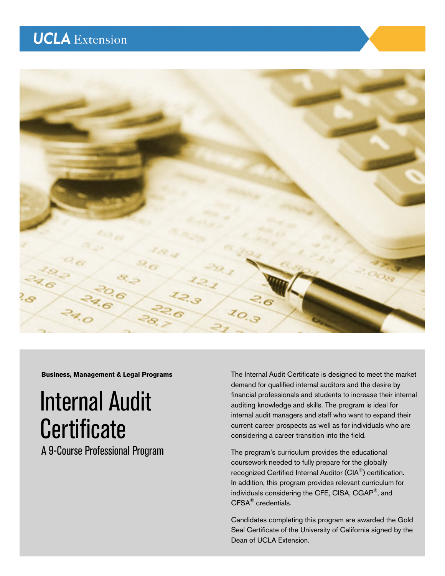# **UCLA** Extension



**Business, Management & Legal Programs** 

# Internal Audit **Certificate**

A 9-Course Professional Program

The Internal Audit Certificate is designed to meet the market demand for qualified internal auditors and the desire by financial professionals and students to increase their internal auditing knowledge and skills. The program is ideal for internal audit managers and staff who want to expand their current career prospects as well as for individuals who are considering a career transition into the field.

The program's curriculum provides the educational coursework needed to fully prepare for the globally recognized Certified Internal Auditor (CIA®) certification. In addition, this program provides relevant curriculum for individuals considering the CFE, CISA, CGAP®, and CFSA® credentials.

Candidates completing this program are awarded the Gold Seal Certificate of the University of California signed by the Dean of UCLA Extension.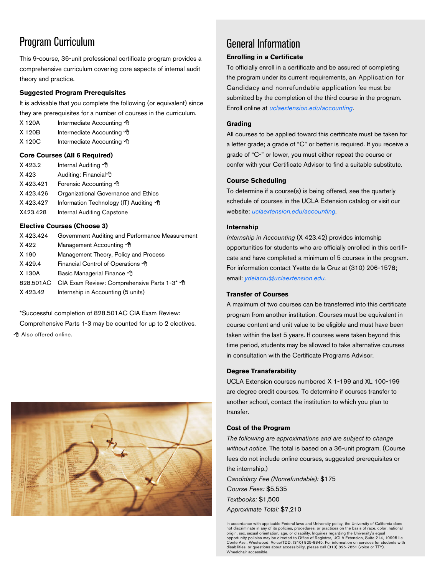# Program Curriculum

This 9-course, 36-unit professional certificate program provides a comprehensive curriculum covering core aspects of internal audit theory and practice.

### **Suggested Program Prerequisites**

It is advisable that you complete the following (or equivalent) since they are prerequisites for a number of courses in the curriculum.

- X 120A Intermediate Accounting <sup>1</sup>
- X 120B Intermediate Accounting <sup>•</sup>
- X 120C Intermediate Accounting <sup>of</sup>

### **Core Courses (All 6 Required)**

X 423.2 Internal Auditing X 423 Auditing: Financial <sup>n</sup> X 423.421 Forensic Accounting <sup>6</sup> X 423.426 Organizational Governance and Ethics X 423.427 Information Technology (IT) Auditing X423.428 Internal Auditing Capstone

### **Elective Courses (Choose 3)**

| X423.424 | Government Auditing and Performance Measurement       |
|----------|-------------------------------------------------------|
| X 422    | Management Accounting <sup>1</sup>                    |
| X 190    | Management Theory, Policy and Process                 |
| X 429.4  | Financial Control of Operations <sup>of</sup>         |
| X 130A   | Basic Managerial Finance <sup>1</sup>                 |
|          | 828.501AC CIA Exam Review: Comprehensive Parts 1-3* 0 |
| X 423.42 | Internship in Accounting (5 units)                    |

\*Successful completion of 828.501AC CIA Exam Review: Comprehensive Parts 1-3 may be counted for up to 2 electives. *A* Also offered online.



# General Information

### **Enrolling in a Certificate**

To officially enroll in a certificate and be assured of completing the program under its current requirements, an Application for Candidacy and nonrefundable application fee must be submitted by the completion of the third course in the program. Enroll online at *[uclaextension.edu/accounting](www.uclaextension.edu/accounting)*.

### **Grading**

All courses to be applied toward this certificate must be taken for a letter grade; a grade of "C" or better is required. If you receive a grade of "C-" or lower, you must either repeat the course or confer with your Certificate Advisor to find a suitable substitute.

### **Course Scheduling**

To determine if a course(s) is being offered, see the quarterly schedule of courses in the UCLA Extension catalog or visit our website: *[uclaextension.edu/accounting](www.uclaextension.edu/accounting)*.

### **Internship**

*Internship in Accounting* (X 423.42) provides internship opportunities for students who are officially enrolled in this certificate and have completed a minimum of 5 courses in the program. For information contact Yvette de la Cruz at (310) 206-1578; email: *ydelacru@uclaextension.edu*.

### **Transfer of Courses**

A maximum of two courses can be transferred into this certificate program from another institution. Courses must be equivalent in course content and unit value to be eligible and must have been taken within the last 5 years. If courses were taken beyond this time period, students may be allowed to take alternative courses in consultation with the Certificate Programs Advisor.

### **Degree Transferability**

UCLA Extension courses numbered X 1-199 and XL 100-199 are degree credit courses. To determine if courses transfer to another school, contact the institution to which you plan to transfer.

### **Cost of the Program**

*The following are approximations and are subject to change without notice.* The total is based on a 36-unit program. (Course fees do not include online courses, suggested prerequisites or the internship.) *Candidacy Fee (Nonrefundable):* \$175

*Course Fees:* \$5,535 *Textbooks:* \$1,500 *Approximate Total:* \$7,210

In accordance with applicable Federal laws and University policy, the University of California does not discriminate in any of its policies, procedures, or practices on the basis of race, color, national origin, sex, sexual orientation, age, or disability. Inquiries regarding the University's equal<br>opportunity policies may be directed to Office of Registrar, UCLA Extension, Suite 214, 10995 Le<br>Conte Ave., Westwood; Voice/T disabilities, or questions about accessibility, please call (310) 825-7851 (voice or TTY). Wheelchair accessible.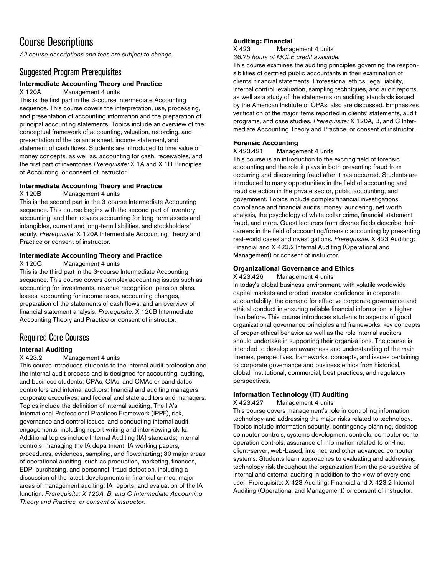# Course Descriptions

*All course descriptions and fees are subject to change*.

### Suggested Program Prerequisites

### **Intermediate Accounting Theory and Practice**

X 120A Management 4 units

This is the first part in the 3-course Intermediate Accounting sequence. This course covers the interpretation, use, processing, and presentation of accounting information and the preparation of principal accounting statements. Topics include an overview of the conceptual framework of accounting, valuation, recording, and presentation of the balance sheet, income statement, and statement of cash flows. Students are introduced to time value of money concepts, as well as, accounting for cash, receivables, and the first part of inventories *Prerequisite:* X 1A and X 1B Principles of Accounting, or consent of instructor.

### **Intermediate Accounting Theory and Practice**

X 120B Management 4 units

This is the second part in the 3-course Intermediate Accounting sequence. This course begins with the second part of inventory accounting, and then covers accounting for long-term assets and intangibles, current and long-term liabilities, and stockholders' equity. *Prerequisite:* X 120A Intermediate Accounting Theory and Practice or consent of instructor.

### **Intermediate Accounting Theory and Practice**

X 120C Management 4 units

This is the third part in the 3-course Intermediate Accounting sequence. This course covers complex accounting issues such as accounting for investments, revenue recognition, pension plans, leases, accounting for income taxes, accounting changes, preparation of the statements of cash flows, and an overview of financial statement analysis. *Prerequisite:* X 120B Intermediate Accounting Theory and Practice or consent of instructor.

### Required Core Courses

### **Internal Auditing**

X 423.2 Management 4 units

This course introduces students to the internal audit profession and the internal audit process and is designed for accounting, auditing, and business students; CPAs, CIAs, and CMAs or candidates; controllers and internal auditors; financial and auditing managers; corporate executives; and federal and state auditors and managers. Topics include the definition of internal auditing, The IIA's International Professional Practices Framework (IPPF), risk, governance and control issues, and conducting internal audit engagements, including report writing and interviewing skills. Additional topics include Internal Auditing (IA) standards; internal controls; managing the IA department; IA working papers, procedures, evidences, sampling, and flowcharting; 30 major areas of operational auditing, such as production, marketing, finances, EDP, purchasing, and personnel; fraud detection, including a discussion of the latest developments in financial crimes; major areas of management auditing; IA reports; and evaluation of the IA function. *Prerequisite: X 120A, B, and C Intermediate Accounting Theory and Practice, or consent of instructor.* 

### **Auditing: Financial**

X 423 Management 4 units *36.75 hours of MCLE credit available.* 

This course examines the auditing principles governing the responsibilities of certified public accountants in their examination of clients' financial statements. Professional ethics, legal liability, internal control, evaluation, sampling techniques, and audit reports, as well as a study of the statements on auditing standards issued by the American Institute of CPAs, also are discussed. Emphasizes verification of the major items reported in clients' statements, audit programs, and case studies. *Prerequisite:* X 120A, B, and C Intermediate Accounting Theory and Practice, or consent of instructor.

# **Forensic Accounting**

Management 4 units

This course is an introduction to the exciting field of forensic accounting and the role it plays in both preventing fraud from occurring and discovering fraud after it has occurred. Students are introduced to many opportunities in the field of accounting and fraud detection in the private sector, public accounting, and government. Topics include complex financial investigations, compliance and financial audits, money laundering, net worth analysis, the psychology of white collar crime, financial statement fraud, and more. Guest lecturers from diverse fields describe their careers in the field of accounting/forensic accounting by presenting real-world cases and investigations. *Prerequisite:* X 423 Auditing: Financial and X 423.2 Internal Auditing (Operational and Management) or consent of instructor.

### **Organizational Governance and Ethics**

X 423.426 Management 4 units

In today's global business environment, with volatile worldwide capital markets and eroded investor confidence in corporate accountability, the demand for effective corporate governance and ethical conduct in ensuring reliable financial information is higher than before. This course introduces students to aspects of good organizational governance principles and frameworks, key concepts of proper ethical behavior as well as the role internal auditors should undertake in supporting their organizations. The course is intended to develop an awareness and understanding of the main themes, perspectives, frameworks, concepts, and issues pertaining to corporate governance and business ethics from historical, global, institutional, commercial, best practices, and regulatory perspectives.

### **Information Technology (IT) Auditing**

X 423.427 Management 4 units

This course covers management's role in controlling information technology and addressing the major risks related to technology. Topics include information security, contingency planning, desktop computer controls, systems development controls, computer center operation controls, assurance of information related to on-line, client-server, web-based, internet, and other advanced computer systems. Students learn approaches to evaluating and addressing technology risk throughout the organization from the perspective of internal and external auditing in addition to the view of every end user. Prerequisite: X 423 Auditing: Financial and X 423.2 Internal Auditing (Operational and Management) or consent of instructor.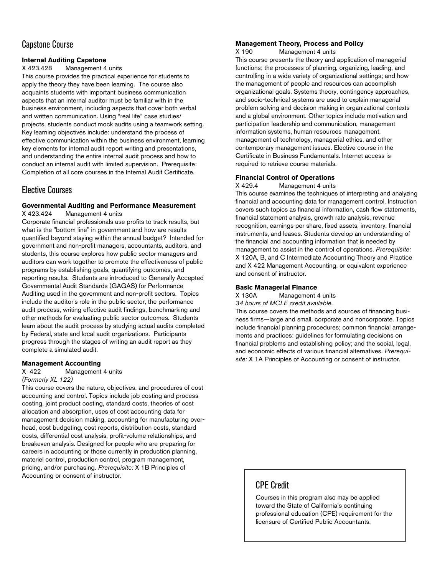### Capstone Course

### **Internal Auditing Capstone**

X 423.428 Management 4 units

This course provides the practical experience for students to apply the theory they have been learning. The course also acquaints students with important business communication aspects that an internal auditor must be familiar with in the business environment, including aspects that cover both verbal and written communication. Using "real life" case studies/ projects, students conduct mock audits using a teamwork setting. Key learning objectives include: understand the process of effective communication within the business environment, learning key elements for internal audit report writing and presentations, and understanding the entire internal audit process and how to conduct an internal audit with limited supervision. Prerequisite: Completion of all core courses in the Internal Audit Certificate.

### Elective Courses

#### **Governmental Auditing and Performance Measurement**  X 423.424 Management 4 units

Corporate financial professionals use profits to track results, but what is the "bottom line" in government and how are results quantified beyond staying within the annual budget? Intended for government and non-profit managers, accountants, auditors, and students, this course explores how public sector managers and auditors can work together to promote the effectiveness of public programs by establishing goals, quantifying outcomes, and reporting results. Students are introduced to Generally Accepted Governmental Audit Standards (GAGAS) for Performance Auditing used in the government and non-profit sectors. Topics include the auditor's role in the public sector, the performance audit process, writing effective audit findings, benchmarking and other methods for evaluating public sector outcomes. Students learn about the audit process by studying actual audits completed by Federal, state and local audit organizations. Participants progress through the stages of writing an audit report as they complete a simulated audit.

# **Management Accounting**<br> **X** 422 **Management**

#### Management 4 units *(Formerly XL 122)*

This course covers the nature, objectives, and procedures of cost accounting and control. Topics include job costing and process costing, joint product costing, standard costs, theories of cost allocation and absorption, uses of cost accounting data for management decision making, accounting for manufacturing overhead, cost budgeting, cost reports, distribution costs, standard costs, differential cost analysis, profit-volume relationships, and breakeven analysis. Designed for people who are preparing for careers in accounting or those currently in production planning, materiel control, production control, program management, pricing, and/or purchasing. *Prerequisite:* X 1B Principles of Accounting or consent of instructor.

#### **Management Theory, Process and Policy**

X 190 Management 4 units

This course presents the theory and application of managerial functions; the processes of planning, organizing, leading, and controlling in a wide variety of organizational settings; and how the management of people and resources can accomplish organizational goals. Systems theory, contingency approaches, and socio-technical systems are used to explain managerial problem solving and decision making in organizational contexts and a global environment. Other topics include motivation and participation leadership and communication, management information systems, human resources management, management of technology, managerial ethics, and other contemporary management issues. Elective course in the Certificate in Business Fundamentals. Internet access is required to retrieve course materials.

#### **Financial Control of Operations**

X 429.4 Management 4 units

This course examines the techniques of interpreting and analyzing financial and accounting data for management control. Instruction covers such topics as financial information, cash flow statements, financial statement analysis, growth rate analysis, revenue recognition, earnings per share, fixed assets, inventory, financial instruments, and leases. Students develop an understanding of the financial and accounting information that is needed by management to assist in the control of operations. *Prerequisite:* X 120A, B, and C Intermediate Accounting Theory and Practice and X 422 Management Accounting, or equivalent experience and consent of instructor.

#### **Basic Managerial Finance**

X 130A Management 4 units

*34 hours of MCLE credit available*.

This course covers the methods and sources of financing business firms—large and small, corporate and noncorporate. Topics include financial planning procedures; common financial arrangements and practices; guidelines for formulating decisions on financial problems and establishing policy; and the social, legal, and economic effects of various financial alternatives. *Prerequisite:* X 1A Principles of Accounting or consent of instructor.

### CPE Credit

Courses in this program also may be applied toward the State of California's continuing professional education (CPE) requirement for the licensure of Certified Public Accountants.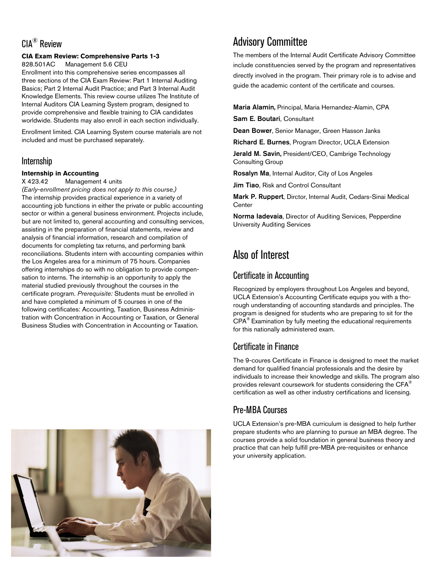# CIA® Review

### **CIA Exam Review: Comprehensive Parts 1-3**

828.501AC Management 5.6 CEU

Enrollment into this comprehensive series encompasses all three sections of the CIA Exam Review: Part 1 Internal Auditing Basics; Part 2 Internal Audit Practice; and Part 3 Internal Audit Knowledge Elements. This review course utilizes The Institute of Internal Auditors CIA Learning System program, designed to provide comprehensive and flexible training to CIA candidates worldwide. Students may also enroll in each section individually.

Enrollment limited. CIA Learning System course materials are not included and must be purchased separately.

### Internship

#### **Internship in Accounting**

X 423.42 Management 4 units

*(Early-enrollment pricing does not apply to this course.)*  The internship provides practical experience in a variety of accounting job functions in either the private or public accounting sector or within a general business environment. Projects include, but are not limited to, general accounting and consulting services, assisting in the preparation of financial statements, review and analysis of financial information, research and compilation of documents for completing tax returns, and performing bank reconciliations. Students intern with accounting companies within the Los Angeles area for a minimum of 75 hours. Companies offering internships do so with no obligation to provide compensation to interns. The internship is an opportunity to apply the material studied previously throughout the courses in the certificate program. *Prerequisite:* Students must be enrolled in and have completed a minimum of 5 courses in one of the following certificates: Accounting, Taxation, Business Administration with Concentration in Accounting or Taxation, or General Business Studies with Concentration in Accounting or Taxation.



# Advisory Committee

The members of the Internal Audit Certificate Advisory Committee include constituencies served by the program and representatives directly involved in the program. Their primary role is to advise and guide the academic content of the certificate and courses.

Maria Alamin, Principal, Maria Hernandez-Alamin, CPA

Sam E. Boutari, Consultant

Dean Bower, Senior Manager, Green Hasson Janks

Richard E. Burnes, Program Director, UCLA Extension

Jerald M. Savin, President/CEO, Cambrige Technology Consulting Group

Rosalyn Ma, Internal Auditor, City of Los Angeles

Jim Tiao, Risk and Control Consultant

Mark P. Ruppert, Dirctor, Internal Audit, Cedars-Sinai Medical **Center** 

Norma Iadevaia, Director of Auditing Services, Pepperdine University Auditing Services

# Also of Interest

### Certificate in Accounting

Recognized by employers throughout Los Angeles and beyond, UCLA Extension's Accounting Certificate equips you with a thorough understanding of accounting standards and principles. The program is designed for students who are preparing to sit for the CPA® Examination by fully meeting the educational requirements for this nationally administered exam.

### Certificate in Finance

The 9-coures Certificate in Finance is designed to meet the market demand for qualified financial professionals and the desire by individuals to increase their knowledge and skills. The program also provides relevant coursework for students considering the CFA® certification as well as other industry certifications and licensing.

### Pre-MBA Courses

UCLA Extension's pre-MBA curriculum is designed to help further prepare students who are planning to pursue an MBA degree. The courses provide a solid foundation in general business theory and practice that can help fulfill pre-MBA pre-requisites or enhance your university application.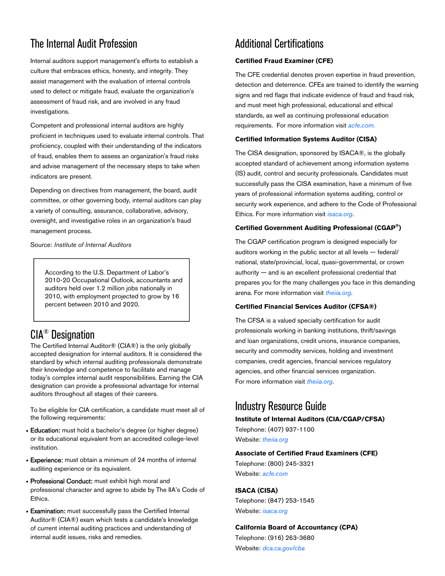# The Internal Audit Profession

Internal auditors support management's efforts to establish a culture that embraces ethics, honesty, and integrity. They assist management with the evaluation of internal controls used to detect or mitigate fraud, evaluate the organization's assessment of fraud risk, and are involved in any fraud investigations.

Competent and professional internal auditors are highly proficient in techniques used to evaluate internal controls. That proficiency, coupled with their understanding of the indicators of fraud, enables them to assess an organization's fraud risks and advise management of the necessary steps to take when indicators are present.

Depending on directives from management, the board, audit committee, or other governing body, internal auditors can play a variety of consulting, assurance, collaborative, advisory, oversight, and investigative roles in an organization's fraud management process.

Source: *Institute of Internal Auditors* 

According to the U.S. Department of Labor's 2010-20 Occupational Outlook, accountants and auditors held over 1.2 million jobs nationally in 2010, with employment projected to grow by 16 percent between 2010 and 2020.

# CIA® Designation

The Certified Internal Auditor® (CIA®) is the only globally accepted designation for internal auditors. It is considered the standard by which internal auditing professionals demonstrate their knowledge and competence to facilitate and manage today's complex internal audit responsibilities. Earning the CIA designation can provide a professional advantage for internal auditors throughout all stages of their careers.

To be eligible for CIA certification, a candidate must meet all of the following requirements:

- Education: must hold a bachelor's degree (or higher degree) or its educational equivalent from an accredited college-level institution.
- Experience: must obtain a minimum of 24 months of internal auditing experience or its equivalent.
- Professional Conduct: must exhibit high moral and professional character and agree to abide by The IIA's Code of Ethics.
- **Examination:** must successfully pass the Certified Internal Auditor® (CIA®) exam which tests a candidate's knowledge of current internal auditing practices and understanding of internal audit issues, risks and remedies.

# Additional Certifications

### **Certified Fraud Examiner (CFE)**

The CFE credential denotes proven expertise in fraud prevention, detection and deterrence. CFEs are trained to identify the warning signs and red flags that indicate evidence of fraud and fraud risk, and must meet high professional, educational and ethical standards, as well as continuing professional education requirements. For more information visit *[acfe.com](www.acfe.com).*

#### **Certified Information Systems Auditor (CISA)**

The CISA designation, sponsored by ISACA®, is the globally accepted standard of achievement among information systems (IS) audit, control and security professionals. Candidates must successfully pass the CISA examination, have a minimum of five years of professional information systems auditing, control or security work experience, and adhere to the Code of Professional Ethics. For more information visit *[isaca.org](www.isaca.org)*.

#### **Certified Government Auditing Professional (CGAP®)**

The CGAP certification program is designed especially for auditors working in the public sector at all levels — federal/ national, state/provincial, local, quasi-governmental, or crown authority — and is an excellent professional credential that prepares you for the many challenges you face in this demanding arena. For more information visit *[theiia.org](www.theiia.org)*.

#### **Certified Financial Services Auditor (CFSA®)**

The CFSA is a valued specialty certification for audit professionals working in banking institutions, thrift/savings and loan organizations, credit unions, insurance companies, security and commodity services, holding and investment companies, credit agencies, financial services regulatory agencies, and other financial services organization. For more information visit *[theiia.org](www.theiia.org)*.

### Industry Resource Guide

**Institute of Internal Auditors (CIA/CGAP/CFSA)**  Telephone: (407) 937-1100 Website: *[theiia.org](www.theiia.org)* 

**Associate of Certified Fraud Examiners (CFE)** 

Telephone: (800) 245-3321 Website: *[acfe.com](www.acfe.com)*

**ISACA (CISA)**  Telephone: (847) 253-1545 Website: *[isaca.org](www.isaca.org)* 

### **California Board of Accountancy (CPA)**

Telephone: (916) 263-3680 Website: *[dca.ca.gov/cba](www.dca.ca.gob/cba)*